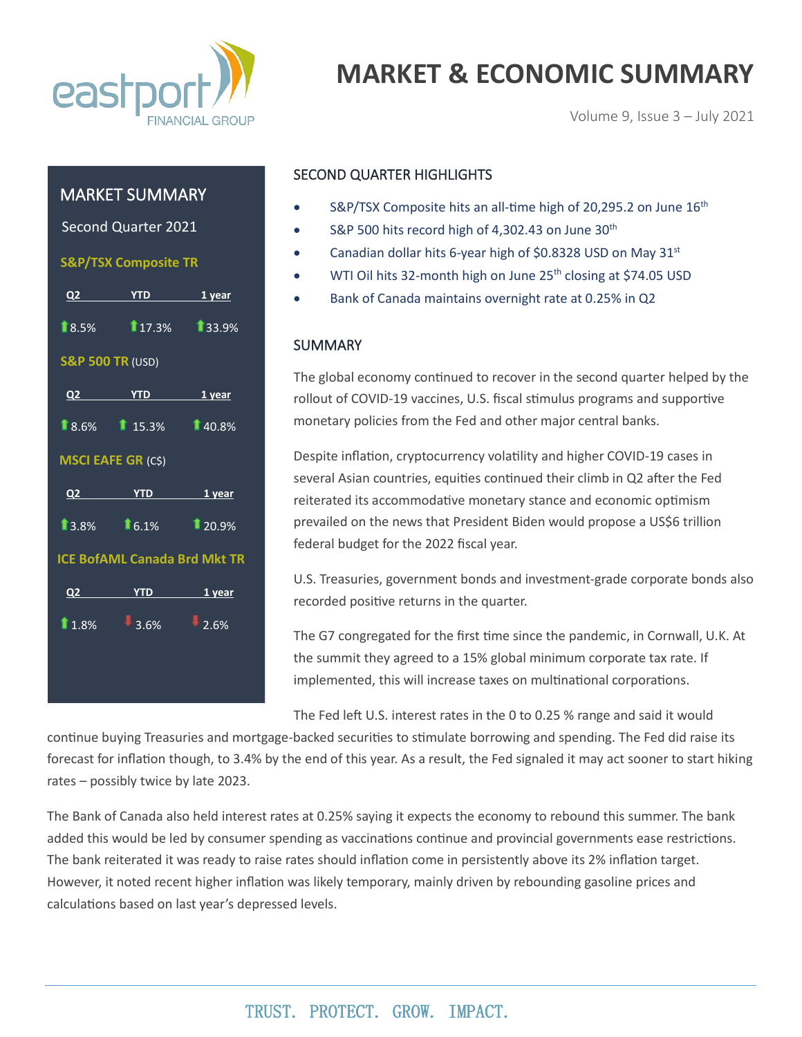

# **MARKET & ECONOMIC SUMMARY**

Volume 9, Issue 3 – July 2021

### MARKET SUMMARY

Second Quarter 2021

 **S&P/TSX Composite TR**

|                                     | Q2 YTD 1 year      |  |  |  |
|-------------------------------------|--------------------|--|--|--|
|                                     | 18.5% 17.3% 33.9%  |  |  |  |
| <b>S&amp;P 500 TR (USD)</b>         |                    |  |  |  |
|                                     | Q2 YTD 1 year      |  |  |  |
|                                     | 18.6% 15.3% 140.8% |  |  |  |
| <b>MSCI EAFE GR (CS)</b>            |                    |  |  |  |
|                                     | Q2 YTD 1 year      |  |  |  |
|                                     | 13.8% 16.1% 20.9%  |  |  |  |
| <b>ICE BofAML Canada Brd Mkt TR</b> |                    |  |  |  |
|                                     | Q2 YTD 1 year      |  |  |  |
|                                     | $1.8\%$ 3.6% 2.6%  |  |  |  |
|                                     |                    |  |  |  |
|                                     |                    |  |  |  |

#### SECOND QUARTER HIGHLIGHTS

- S&P/TSX Composite hits an all-time high of 20,295.2 on June 16<sup>th</sup>
- S&P 500 hits record high of 4,302.43 on June 30<sup>th</sup>
- Canadian dollar hits 6-year high of \$0.8328 USD on May 31<sup>st</sup>
- WTI Oil hits 32-month high on June 25<sup>th</sup> closing at \$74.05 USD
- Bank of Canada maintains overnight rate at 0.25% in Q2

#### SUMMARY

The global economy continued to recover in the second quarter helped by the rollout of COVID-19 vaccines, U.S. fiscal stimulus programs and supportive monetary policies from the Fed and other major central banks.

Despite inflation, cryptocurrency volatility and higher COVID-19 cases in several Asian countries, equities continued their climb in Q2 after the Fed reiterated its accommodative monetary stance and economic optimism prevailed on the news that President Biden would propose a US\$6 trillion federal budget for the 2022 fiscal year.

U.S. Treasuries, government bonds and investment-grade corporate bonds also recorded positive returns in the quarter.

The G7 congregated for the first time since the pandemic, in Cornwall, U.K. At the summit they agreed to a 15% global minimum corporate tax rate. If implemented, this will increase taxes on multinational corporations.

The Fed left U.S. interest rates in the 0 to 0.25 % range and said it would

continue buying Treasuries and mortgage-backed securities to stimulate borrowing and spending. The Fed did raise its forecast for inflation though, to 3.4% by the end of this year. As a result, the Fed signaled it may act sooner to start hiking rates – possibly twice by late 2023.

The Bank of Canada also held interest rates at 0.25% saying it expects the economy to rebound this summer. The bank added this would be led by consumer spending as vaccinations continue and provincial governments ease restrictions. The bank reiterated it was ready to raise rates should inflation come in persistently above its 2% inflation target. However, it noted recent higher inflation was likely temporary, mainly driven by rebounding gasoline prices and calculations based on last year's depressed levels.